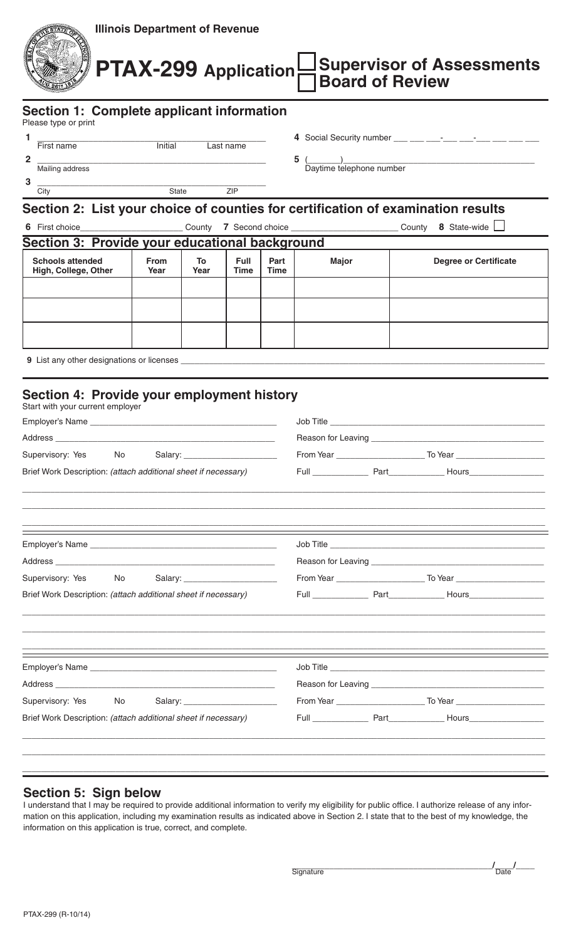| <b>Illinois Department of Revenue</b><br><b>Supervisor of Assessments</b><br>PTAX-299 Application<br><b>Board of Review</b>                                                                                                                                                                                       |                                                                                                                                                                                                                                |      |             |      |                                                      |  |                                                                                  |  |
|-------------------------------------------------------------------------------------------------------------------------------------------------------------------------------------------------------------------------------------------------------------------------------------------------------------------|--------------------------------------------------------------------------------------------------------------------------------------------------------------------------------------------------------------------------------|------|-------------|------|------------------------------------------------------|--|----------------------------------------------------------------------------------|--|
| Section 1: Complete applicant information<br>Please type or print                                                                                                                                                                                                                                                 |                                                                                                                                                                                                                                |      |             |      |                                                      |  |                                                                                  |  |
| First name Thitial Last name<br>1.                                                                                                                                                                                                                                                                                |                                                                                                                                                                                                                                |      |             |      |                                                      |  |                                                                                  |  |
| $\overline{2}$                                                                                                                                                                                                                                                                                                    | Mailing address and the control of the control of the control of the control of the control of the control of the control of the control of the control of the control of the control of the control of the control of the con |      |             |      | $\frac{5}{2}$ $\frac{2}{2}$ Daytime telephone number |  |                                                                                  |  |
| 3                                                                                                                                                                                                                                                                                                                 | <b>City</b> State <b>ZIP</b>                                                                                                                                                                                                   |      |             |      |                                                      |  |                                                                                  |  |
| Section 2: List your choice of counties for certification of examination results<br>6 First choice____________________________County 7 Second choice ____________________________County 8 State-wide L                                                                                                            |                                                                                                                                                                                                                                |      |             |      |                                                      |  |                                                                                  |  |
| Section 3: Provide your educational background<br><b>Schools attended</b>                                                                                                                                                                                                                                         | <b>From</b>                                                                                                                                                                                                                    | To   | <b>Full</b> | Part | <b>Major</b>                                         |  | <b>Degree or Certificate</b>                                                     |  |
| High, College, Other                                                                                                                                                                                                                                                                                              | Year                                                                                                                                                                                                                           | Year | Time        | Time |                                                      |  |                                                                                  |  |
|                                                                                                                                                                                                                                                                                                                   |                                                                                                                                                                                                                                |      |             |      |                                                      |  |                                                                                  |  |
|                                                                                                                                                                                                                                                                                                                   |                                                                                                                                                                                                                                |      |             |      |                                                      |  |                                                                                  |  |
|                                                                                                                                                                                                                                                                                                                   |                                                                                                                                                                                                                                |      |             |      |                                                      |  |                                                                                  |  |
|                                                                                                                                                                                                                                                                                                                   |                                                                                                                                                                                                                                |      |             |      |                                                      |  |                                                                                  |  |
|                                                                                                                                                                                                                                                                                                                   |                                                                                                                                                                                                                                |      |             |      |                                                      |  |                                                                                  |  |
| Section 4: Provide your employment history<br>Start with your current employer<br>Address _<br><u> 1989 - Johann John Stein, mars et al. 1989 - John Stein, mars et al. 1989 - John Stein, mars et al. 1989 - Joh</u><br>Supervisory: Yes<br>No<br>Brief Work Description: (attach additional sheet if necessary) |                                                                                                                                                                                                                                |      |             |      |                                                      |  |                                                                                  |  |
|                                                                                                                                                                                                                                                                                                                   |                                                                                                                                                                                                                                |      |             |      |                                                      |  |                                                                                  |  |
|                                                                                                                                                                                                                                                                                                                   |                                                                                                                                                                                                                                |      |             |      |                                                      |  |                                                                                  |  |
|                                                                                                                                                                                                                                                                                                                   |                                                                                                                                                                                                                                |      |             |      |                                                      |  |                                                                                  |  |
| Supervisory: Yes No<br>Brief Work Description: (attach additional sheet if necessary)                                                                                                                                                                                                                             |                                                                                                                                                                                                                                |      |             |      |                                                      |  |                                                                                  |  |
|                                                                                                                                                                                                                                                                                                                   |                                                                                                                                                                                                                                |      |             |      |                                                      |  | ,我们也不会有什么。""我们的人,我们也不会有什么?""我们的人,我们也不会有什么?""我们的人,我们也不会有什么?""我们的人,我们也不会有什么?""我们的人 |  |
|                                                                                                                                                                                                                                                                                                                   |                                                                                                                                                                                                                                |      |             |      |                                                      |  |                                                                                  |  |
|                                                                                                                                                                                                                                                                                                                   |                                                                                                                                                                                                                                |      |             |      |                                                      |  |                                                                                  |  |
| Supervisory: Yes No                                                                                                                                                                                                                                                                                               |                                                                                                                                                                                                                                |      |             |      |                                                      |  |                                                                                  |  |
| Brief Work Description: (attach additional sheet if necessary)                                                                                                                                                                                                                                                    |                                                                                                                                                                                                                                |      |             |      |                                                      |  |                                                                                  |  |
|                                                                                                                                                                                                                                                                                                                   |                                                                                                                                                                                                                                |      |             |      |                                                      |  |                                                                                  |  |
| <b>Section 5: Sign below</b>                                                                                                                                                                                                                                                                                      |                                                                                                                                                                                                                                |      |             |      |                                                      |  |                                                                                  |  |

I understand that I may be required to provide additional information to verify my eligibility for public office. I authorize release of any information on this application, including my examination results as indicated above in Section 2. I state that to the best of my knowledge, the information on this application is true, correct, and complete.

**The Community of Signature**  $\frac{1}{\text{Date}}$